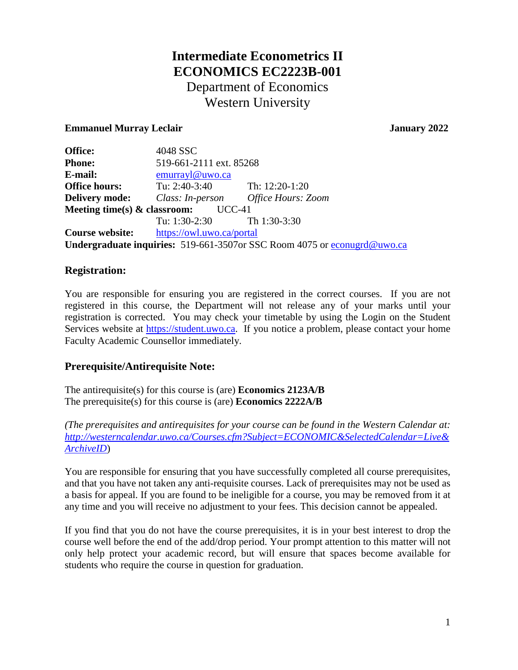# **Intermediate Econometrics II ECONOMICS EC2223B-001** Department of Economics Western University

## **Emmanuel Murray Leclair Contract Contract Contract Contract Contract Contract Contract Contract Contract Contract Contract Contract Contract Contract Contract Contract Contract Contract Contract Contract Contract Contra**

| Office:                                                                  | 4048 SSC                         |                           |  |  |
|--------------------------------------------------------------------------|----------------------------------|---------------------------|--|--|
| <b>Phone:</b>                                                            | 519-661-2111 ext. 85268          |                           |  |  |
| E-mail:                                                                  | emurrayl@uwo.ca                  |                           |  |  |
| <b>Office hours:</b>                                                     | Tu: $2:40-3:40$ Th: $12:20-1:20$ |                           |  |  |
| <b>Delivery mode:</b>                                                    | Class: In-person                 | <b>Office Hours: Zoom</b> |  |  |
| Meeting time(s) $\&$ classroom:<br>$UCC-41$                              |                                  |                           |  |  |
|                                                                          | Tu: $1:30-2:30$ Th $1:30-3:30$   |                           |  |  |
| <b>Course website:</b>                                                   | https://owl.uwo.ca/portal        |                           |  |  |
| Undergraduate inquiries: 519-661-3507or SSC Room 4075 or econugra@uwo.ca |                                  |                           |  |  |

## **Registration:**

You are responsible for ensuring you are registered in the correct courses. If you are not registered in this course, the Department will not release any of your marks until your registration is corrected. You may check your timetable by using the Login on the Student Services website at [https://student.uwo.ca.](https://student.uwo.ca/) If you notice a problem, please contact your home Faculty Academic Counsellor immediately.

# **Prerequisite/Antirequisite Note:**

The antirequisite(s) for this course is (are) **Economics 2123A/B** The prerequisite(s) for this course is (are) **Economics 2222A/B**

*(The prerequisites and antirequisites for your course can be found in the Western Calendar at: [http://westerncalendar.uwo.ca/Courses.cfm?Subject=ECONOMIC&SelectedCalendar=Live&](http://westerncalendar.uwo.ca/Courses.cfm?Subject=ECONOMIC&SelectedCalendar=Live&ArchiveID) [ArchiveID](http://westerncalendar.uwo.ca/Courses.cfm?Subject=ECONOMIC&SelectedCalendar=Live&ArchiveID)*)

You are responsible for ensuring that you have successfully completed all course prerequisites, and that you have not taken any anti-requisite courses. Lack of prerequisites may not be used as a basis for appeal. If you are found to be ineligible for a course, you may be removed from it at any time and you will receive no adjustment to your fees. This decision cannot be appealed.

If you find that you do not have the course prerequisites, it is in your best interest to drop the course well before the end of the add/drop period. Your prompt attention to this matter will not only help protect your academic record, but will ensure that spaces become available for students who require the course in question for graduation.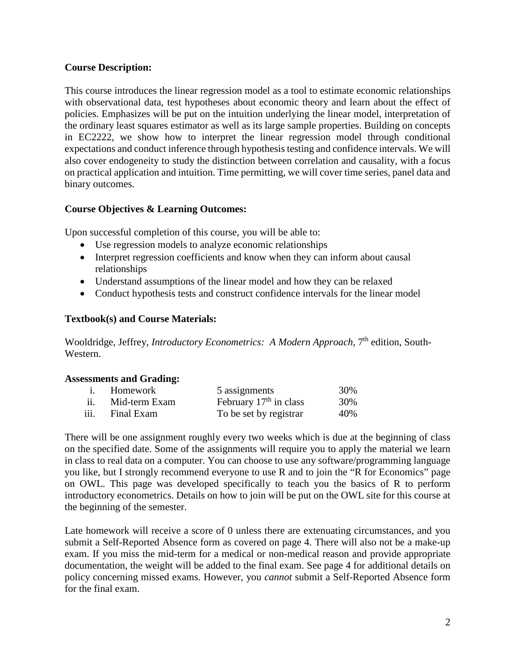## **Course Description:**

This course introduces the linear regression model as a tool to estimate economic relationships with observational data, test hypotheses about economic theory and learn about the effect of policies. Emphasizes will be put on the intuition underlying the linear model, interpretation of the ordinary least squares estimator as well as its large sample properties. Building on concepts in EC2222, we show how to interpret the linear regression model through conditional expectations and conduct inference through hypothesis testing and confidence intervals. We will also cover endogeneity to study the distinction between correlation and causality, with a focus on practical application and intuition. Time permitting, we will cover time series, panel data and binary outcomes.

#### **Course Objectives & Learning Outcomes:**

Upon successful completion of this course, you will be able to:

- Use regression models to analyze economic relationships
- Interpret regression coefficients and know when they can inform about causal relationships
- Understand assumptions of the linear model and how they can be relaxed
- Conduct hypothesis tests and construct confidence intervals for the linear model

## **Textbook(s) and Course Materials:**

Wooldridge, Jeffrey, *Introductory Econometrics: A Modern Approach*, 7<sup>th</sup> edition, South-Western.

#### **Assessments and Grading:**

|      | i. Homework   | 5 assignments            | 30% |
|------|---------------|--------------------------|-----|
| ii.  | Mid-term Exam | February $17th$ in class | 30% |
| iii. | Final Exam    | To be set by registrar   | 40% |

There will be one assignment roughly every two weeks which is due at the beginning of class on the specified date. Some of the assignments will require you to apply the material we learn in class to real data on a computer. You can choose to use any software/programming language you like, but I strongly recommend everyone to use R and to join the "R for Economics" page on OWL. This page was developed specifically to teach you the basics of R to perform introductory econometrics. Details on how to join will be put on the OWL site for this course at the beginning of the semester.

Late homework will receive a score of 0 unless there are extenuating circumstances, and you submit a Self-Reported Absence form as covered on page 4. There will also not be a make-up exam. If you miss the mid-term for a medical or non-medical reason and provide appropriate documentation, the weight will be added to the final exam. See page 4 for additional details on policy concerning missed exams. However, you *cannot* submit a Self-Reported Absence form for the final exam.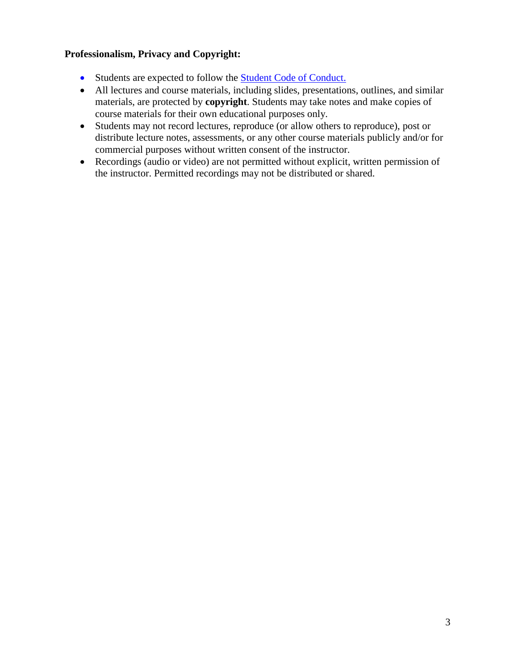## **Professionalism, Privacy and Copyright:**

- Students are expected to follow the **Student Code of Conduct.**
- All lectures and course materials, including slides, presentations, outlines, and similar materials, are protected by **copyright**. Students may take notes and make copies of course materials for their own educational purposes only.
- Students may not record lectures, reproduce (or allow others to reproduce), post or distribute lecture notes, assessments, or any other course materials publicly and/or for commercial purposes without written consent of the instructor.
- Recordings (audio or video) are not permitted without explicit, written permission of the instructor. Permitted recordings may not be distributed or shared.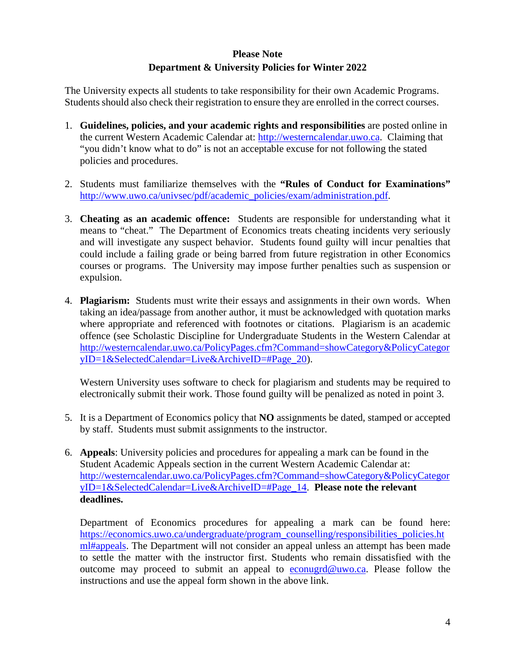# **Please Note Department & University Policies for Winter 2022**

The University expects all students to take responsibility for their own Academic Programs. Students should also check their registration to ensure they are enrolled in the correct courses.

- 1. **Guidelines, policies, and your academic rights and responsibilities** are posted online in the current Western Academic Calendar at: [http://westerncalendar.uwo.ca.](http://westerncalendar.uwo.ca/) Claiming that "you didn't know what to do" is not an acceptable excuse for not following the stated policies and procedures.
- 2. Students must familiarize themselves with the **"Rules of Conduct for Examinations"** [http://www.uwo.ca/univsec/pdf/academic\\_policies/exam/administration.pdf.](http://www.uwo.ca/univsec/pdf/academic_policies/exam/administration.pdf)
- 3. **Cheating as an academic offence:** Students are responsible for understanding what it means to "cheat." The Department of Economics treats cheating incidents very seriously and will investigate any suspect behavior. Students found guilty will incur penalties that could include a failing grade or being barred from future registration in other Economics courses or programs. The University may impose further penalties such as suspension or expulsion.
- 4. **Plagiarism:** Students must write their essays and assignments in their own words. When taking an idea/passage from another author, it must be acknowledged with quotation marks where appropriate and referenced with footnotes or citations. Plagiarism is an academic offence (see Scholastic Discipline for Undergraduate Students in the Western Calendar at [http://westerncalendar.uwo.ca/PolicyPages.cfm?Command=showCategory&PolicyCategor](http://westerncalendar.uwo.ca/PolicyPages.cfm?Command=showCategory&PolicyCategoryID=1&SelectedCalendar=Live&ArchiveID=#Page_20) [yID=1&SelectedCalendar=Live&ArchiveID=#Page\\_20\)](http://westerncalendar.uwo.ca/PolicyPages.cfm?Command=showCategory&PolicyCategoryID=1&SelectedCalendar=Live&ArchiveID=#Page_20).

Western University uses software to check for plagiarism and students may be required to electronically submit their work. Those found guilty will be penalized as noted in point 3.

- 5. It is a Department of Economics policy that **NO** assignments be dated, stamped or accepted by staff. Students must submit assignments to the instructor.
- 6. **Appeals**: University policies and procedures for appealing a mark can be found in the Student Academic Appeals section in the current Western Academic Calendar at: [http://westerncalendar.uwo.ca/PolicyPages.cfm?Command=showCategory&PolicyCategor](http://westerncalendar.uwo.ca/PolicyPages.cfm?Command=showCategory&PolicyCategoryID=1&SelectedCalendar=Live&ArchiveID=#Page_14) [yID=1&SelectedCalendar=Live&ArchiveID=#Page\\_14.](http://westerncalendar.uwo.ca/PolicyPages.cfm?Command=showCategory&PolicyCategoryID=1&SelectedCalendar=Live&ArchiveID=#Page_14) **Please note the relevant deadlines.**

Department of Economics procedures for appealing a mark can be found here: [https://economics.uwo.ca/undergraduate/program\\_counselling/responsibilities\\_policies.ht](https://economics.uwo.ca/undergraduate/program_counselling/responsibilities_policies.html#appeals) [ml#appeals.](https://economics.uwo.ca/undergraduate/program_counselling/responsibilities_policies.html#appeals) The Department will not consider an appeal unless an attempt has been made to settle the matter with the instructor first. Students who remain dissatisfied with the outcome may proceed to submit an appeal to [econugrd@uwo.ca.](mailto:econugrd@uwo.ca) Please follow the instructions and use the appeal form shown in the above link.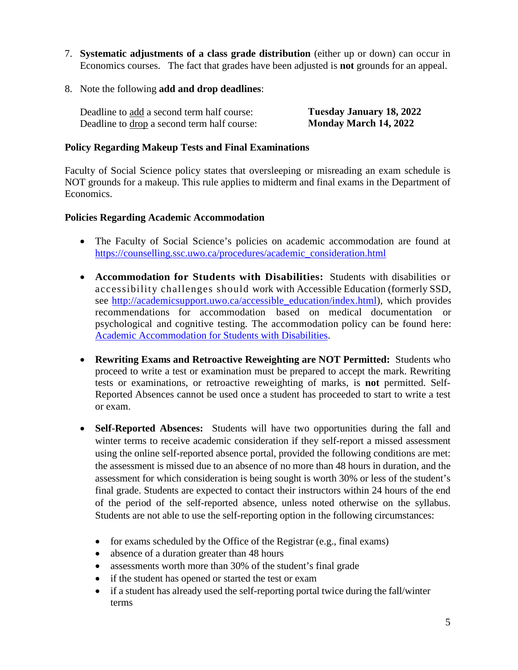- 7. **Systematic adjustments of a class grade distribution** (either up or down) can occur in Economics courses. The fact that grades have been adjusted is **not** grounds for an appeal.
- 8. Note the following **add and drop deadlines**:

| Deadline to add a second term half course:  | Tuesday January 18, 2022     |
|---------------------------------------------|------------------------------|
| Deadline to drop a second term half course: | <b>Monday March 14, 2022</b> |

#### **Policy Regarding Makeup Tests and Final Examinations**

Faculty of Social Science policy states that oversleeping or misreading an exam schedule is NOT grounds for a makeup. This rule applies to midterm and final exams in the Department of Economics.

#### **Policies Regarding Academic Accommodation**

- The Faculty of Social Science's policies on academic accommodation are found at [https://counselling.ssc.uwo.ca/procedures/academic\\_consideration.html](https://counselling.ssc.uwo.ca/procedures/academic_consideration.html)
- **Accommodation for Students with Disabilities:** Students with disabilities or accessibility challenges should work with Accessible Education (formerly SSD, see [http://academicsupport.uwo.ca/accessible\\_education/index.html\)](http://academicsupport.uwo.ca/accessible_education/index.html), which provides recommendations for accommodation based on medical documentation or psychological and cognitive testing. The accommodation policy can be found here: [Academic Accommodation for Students with Disabilities.](https://www.uwo.ca/univsec/pdf/academic_policies/appeals/Academic%20Accommodation_disabilities.pdf)
- **Rewriting Exams and Retroactive Reweighting are NOT Permitted:** Students who proceed to write a test or examination must be prepared to accept the mark. Rewriting tests or examinations, or retroactive reweighting of marks, is **not** permitted. Self-Reported Absences cannot be used once a student has proceeded to start to write a test or exam.
- **Self-Reported Absences:** Students will have two opportunities during the fall and winter terms to receive academic consideration if they self-report a missed assessment using the online self-reported absence portal, provided the following conditions are met: the assessment is missed due to an absence of no more than 48 hours in duration, and the assessment for which consideration is being sought is worth 30% or less of the student's final grade. Students are expected to contact their instructors within 24 hours of the end of the period of the self-reported absence, unless noted otherwise on the syllabus. Students are not able to use the self-reporting option in the following circumstances:
	- for exams scheduled by the Office of the Registrar (e.g., final exams)
	- absence of a duration greater than 48 hours
	- assessments worth more than 30% of the student's final grade
	- if the student has opened or started the test or exam
	- if a student has already used the self-reporting portal twice during the fall/winter terms